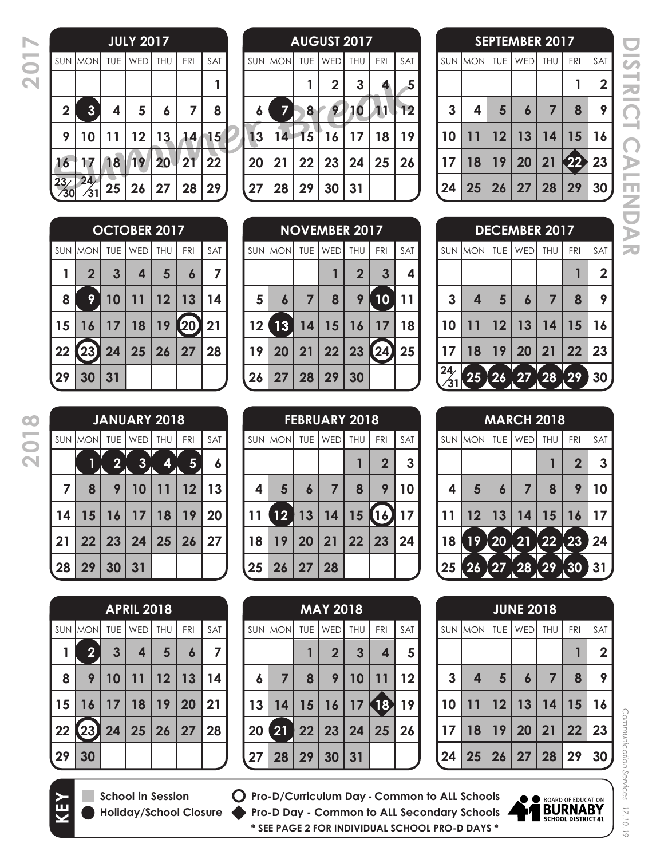**2017**

| <b>JULY 2017</b> |            |     |       |     |              |                         |  |  |  |
|------------------|------------|-----|-------|-----|--------------|-------------------------|--|--|--|
| SAT              | <b>FRI</b> | THU | WED   | TUE | SUN MON      |                         |  |  |  |
|                  |            |     |       |     |              |                         |  |  |  |
| 8                | 7          | 6   | 5     | 4   | $\mathbf{3}$ | $\overline{\mathbf{2}}$ |  |  |  |
| 15               | 14         | 13  | 12    | 11  | 10           | 9                       |  |  |  |
| $\overline{22}$  | 21         | 20  | 19    | 18  | 17           | 16                      |  |  |  |
| 29               | 28         | 27  | 25 26 |     | 24           | 23/<br>$\sqrt{30}$      |  |  |  |

| <b>AUGUST 2017</b> |         |              |                 |    |            |                |  |  |
|--------------------|---------|--------------|-----------------|----|------------|----------------|--|--|
|                    | SUN MON |              | TUE   WED   THU |    | <b>FRI</b> | <b>SAT</b>     |  |  |
|                    |         |              | $\overline{2}$  | 3  |            | $\overline{5}$ |  |  |
| 6                  | 7       | 8            | 9               | 10 |            | 12             |  |  |
| 13                 | 14      | 15           | 16              | 17 | 18         | 19             |  |  |
| 20                 | 21      | 22           | 23              | 24 | 25         | 26             |  |  |
| 27                 | 28      | $ 29\rangle$ | 30              | 31 |            |                |  |  |

|    |                 |            | <b>OCTOBER 2017</b> |     |            |            |    |                |            | <b>NOVEMBER 2017</b> |                |               |            |
|----|-----------------|------------|---------------------|-----|------------|------------|----|----------------|------------|----------------------|----------------|---------------|------------|
|    | <b>SUN MONI</b> | <b>TUE</b> | WED                 | THU | <b>FRI</b> | <b>SAT</b> |    | <b>SUN MON</b> | <b>TUE</b> | WED                  | <b>THU</b>     | <b>FRI</b>    | <b>SAT</b> |
| 1  | $\overline{2}$  | 3          | 4                   | 5   | 6          | 7          |    |                |            |                      | $\overline{2}$ | $\mathbf{3}$  | 4          |
| 8  | 9               | 10         |                     | 12  | 13         | 14         | 5  | 6              | 7          | 8                    | 9              | 10            | 11         |
| 15 | 16              | 17         | 18                  | 19  | 20         | 21         | 12 | 13             | 14         | 15                   | 16             | 17            | 18         |
| 22 | 23)             | 24         | 25                  | 26  | 27         | 28         | 19 | 20             | 21         | 22                   | 23             | $\mathbf{24}$ | 25         |
| 29 | 30              | 31         |                     |     |            |            | 26 | 27             | 28         | 29                   | 30             |               |            |

| <b>FEBRUARY 2018</b> |                     |                  |                |        |                |                |  |  |  |
|----------------------|---------------------|------------------|----------------|--------|----------------|----------------|--|--|--|
|                      | SUN MON TUE WED THU |                  |                |        | <b>FRI</b>     | <b>SAT</b>     |  |  |  |
|                      |                     |                  |                |        | $\overline{2}$ | $\overline{3}$ |  |  |  |
| 4                    | 5 <sup>5</sup>      | $\boldsymbol{6}$ | $\overline{7}$ | 8      | 9              | 10             |  |  |  |
|                      | 12 <sub>2</sub>     |                  | 13 14          | 15(16) |                | 17             |  |  |  |
| 18                   |                     |                  | 19   20   21   | 22 23  |                | 24             |  |  |  |
|                      | 25 26 27 28         |                  |                |        |                |                |  |  |  |

|              |                                                      |                 | <b>SEPTEMBER 2017</b> |                |                |                |
|--------------|------------------------------------------------------|-----------------|-----------------------|----------------|----------------|----------------|
|              | $\textsf{SUN}$ $\textsf{MON}$ tue $\textsf{WED}$ thu |                 |                       |                | FRI            | <b>SAT</b>     |
|              |                                                      |                 |                       |                |                | $\overline{2}$ |
| $\mathbf{3}$ | 4                                                    | $5\overline{5}$ | $\boldsymbol{6}$      | $\overline{7}$ | 8              | 9              |
| 10           | 11                                                   |                 | $12$ 13 14            |                | 15             | 16             |
| 17           | 18                                                   |                 |                       |                | 19 20 21 22 23 |                |
|              | 24   25   26   27   28   29   30                     |                 |                       |                |                |                |

**DISTRICT CALENDAR ISTRICT CALENDAR**  

| <b>DECEMBER 2017</b> |                 |                |                  |                |            |                 |  |  |  |
|----------------------|-----------------|----------------|------------------|----------------|------------|-----------------|--|--|--|
|                      | SUN MON         |                | TUE   WED   THU  |                | <b>FRI</b> | SAT             |  |  |  |
|                      |                 |                |                  |                |            | 2               |  |  |  |
| $\mathbf{3}$         | 4               | $5\phantom{1}$ | $\boldsymbol{6}$ | $\overline{7}$ | 8          | 9               |  |  |  |
| 10                   | 11              | 12             | 13               | 14             | 15         | 16              |  |  |  |
| 17                   | 18              | 19             | 20               | 21             | 22         | 23              |  |  |  |
| $\frac{24}{31}$      | 25 <sub>1</sub> | (26, 27)       |                  | (28)           | 29         | 30 <sub>1</sub> |  |  |  |

| <b>MARCH 2018</b> |                 |                  |                 |    |                         |     |  |  |  |
|-------------------|-----------------|------------------|-----------------|----|-------------------------|-----|--|--|--|
|                   | SUN MON         |                  | TUE   WED   THU |    | <b>FRI</b>              | SAT |  |  |  |
|                   |                 |                  |                 |    | $\overline{\mathbf{2}}$ | 3   |  |  |  |
| 4                 | $5\phantom{1}$  | $\boldsymbol{6}$ | 7               | 8  | 9                       | 10  |  |  |  |
| 11                | 12              | 13               | 14              | 15 | 16                      | 17  |  |  |  |
| 18                | 19 <sup>°</sup> | $\overline{20}$  | 21              | 22 | 23                      | 24  |  |  |  |
| 25                | 26              | 27               | 28              | 29 | 30                      | 31  |  |  |  |

| <b>JUNE 2018</b> |                         |                 |                   |                |              |                |  |  |  |
|------------------|-------------------------|-----------------|-------------------|----------------|--------------|----------------|--|--|--|
|                  | SUN MON TUE WED THU     |                 |                   |                | <b>FRI</b>   | SAT            |  |  |  |
|                  |                         |                 |                   |                |              | $\overline{2}$ |  |  |  |
| $\mathbf{3}$     | $\overline{\mathbf{4}}$ | $5\overline{)}$ | $\boldsymbol{6}$  | $\overline{7}$ | 8            | 9              |  |  |  |
| 10               | 11                      | 12              | 13 14             |                | $ 15\rangle$ | 16             |  |  |  |
| 17               | 18                      | 19 <sup>1</sup> | 20 21             |                | 22           | 23             |  |  |  |
| 24]              |                         |                 | 25 26 27 28 29 30 |                |              |                |  |  |  |

Communication Services 17.10.19

**KEY**

| <b>JANUARY 2018</b> |          |   |                                      |    |     |     |  |  |  |
|---------------------|----------|---|--------------------------------------|----|-----|-----|--|--|--|
|                     |          |   | SUN MON TUE WED THU                  |    | FRI | SAT |  |  |  |
|                     |          | 2 | $\bullet$                            | 4  | 5   | 6   |  |  |  |
| $\overline{7}$      | 8        | 9 | 10                                   | 11 | 12  | 13  |  |  |  |
| 14                  |          |   | $15$   $16$   $17$   $18$            |    | 19  | 20  |  |  |  |
| 21                  |          |   | $22 \mid 23 \mid 24 \mid 25 \mid 26$ |    |     | 27  |  |  |  |
|                     | 28 29 30 |   | 31                                   |    |     |     |  |  |  |

|    | <b>APRIL 2018</b>       |                 |                 |                |                  |     |  |  |  |  |
|----|-------------------------|-----------------|-----------------|----------------|------------------|-----|--|--|--|--|
|    | SUN MON TUE WED THU     |                 |                 |                | FRI              | SAT |  |  |  |  |
|    | $\overline{\mathbf{2}}$ | $\mathbf{3}$    | 4               | $5\phantom{1}$ | $\boldsymbol{6}$ | 7   |  |  |  |  |
| 8  | 9                       | 10              | 11              | 12             | 13               | 14  |  |  |  |  |
| 15 | 16                      | 17 <sup>1</sup> | 18 <sup>1</sup> | <b>19</b>      | 20               | 21  |  |  |  |  |
|    | 22 23 24 25 26          |                 |                 |                | 27               | 28  |  |  |  |  |
| 29 | 30                      |                 |                 |                |                  |     |  |  |  |  |



**School in Session Holiday/School Closure**

**Pro-D/Curriculum Day - Common to ALL Schools Pro-D Day - Common to ALL Secondary Schools \* SEE PAGE 2 FOR INDIVIDUAL SCHOOL PRO-D DAYS \***